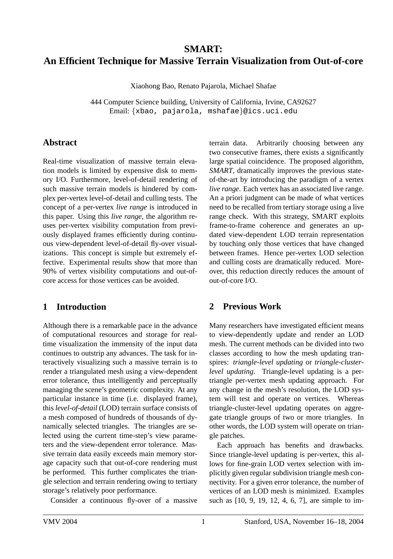# **SMART: An Efficient Technique for Massive Terrain Visualization from Out-of-core**

Xiaohong Bao, Renato Pajarola, Michael Shafae

444 Computer Science building, University of California, Irvine, CA92627 Email: {xbao, pajarola, mshafae}@ics.uci.edu

# **Abstract**

Real-time visualization of massive terrain elevation models is limited by expensive disk to memory I/O. Furthermore, level-of-detail rendering of such massive terrain models is hindered by complex per-vertex level-of-detail and culling tests. The concept of a per-vertex *live range* is introduced in this paper. Using this *live range*, the algorithm reuses per-vertex visibility computation from previously displayed frames efficiently during continuous view-dependent level-of-detail fly-over visualizations. This concept is simple but extremely effective. Experimental results show that more than 90% of vertex visibility computations and out-ofcore access for those vertices can be avoided.

# **1 Introduction**

Although there is a remarkable pace in the advance of computational resources and storage for realtime visualization the immensity of the input data continues to outstrip any advances. The task for interactively visualizing such a massive terrain is to render a triangulated mesh using a view-dependent error tolerance, thus intelligently and perceptually managing the scene's geometric complexity. At any particular instance in time (i.e. displayed frame), this *level-of-detail* (LOD) terrain surface consists of a mesh composed of hundreds of thousands of dynamically selected triangles. The triangles are selected using the current time-step's view parameters and the view-dependent error tolerance. Massive terrain data easily exceeds main memory storage capacity such that out-of-core rendering must be performed. This further complicates the triangle selection and terrain rendering owing to tertiary storage's relatively poor performance.

Consider a continuous fly-over of a massive

terrain data. Arbitrarily choosing between any two consecutive frames, there exists a significantly large spatial coincidence. The proposed algorithm, *SMART*, dramatically improves the previous stateof-the-art by introducing the paradigm of a vertex *live range*. Each vertex has an associated live range. An a priori judgment can be made of what vertices need to be recalled from tertiary storage using a live range check. With this strategy, SMART exploits frame-to-frame coherence and generates an updated view-dependent LOD terrain representation by touching only those vertices that have changed between frames. Hence per-vertex LOD selection and culling costs are dramatically reduced. Moreover, this reduction directly reduces the amount of out-of-core I/O.

# **2 Previous Work**

Many researchers have investigated efficient means to view-dependently update and render an LOD mesh. The current methods can be divided into two classes according to how the mesh updating transpires: *triangle-level updating* or *triangle-clusterlevel updating*. Triangle-level updating is a pertriangle per-vertex mesh updating approach. For any change in the mesh's resolution, the LOD system will test and operate on vertices. Whereas triangle-cluster-level updating operates on aggregate triangle groups of two or more triangles. In other words, the LOD system will operate on triangle patches.

Each approach has benefits and drawbacks. Since triangle-level updating is per-vertex, this allows for fine-grain LOD vertex selection with implicitly given regular subdivision triangle mesh connectivity. For a given error tolerance, the number of vertices of an LOD mesh is minimized. Examples such as [10, 9, 19, 12, 4, 6, 7], are simple to im-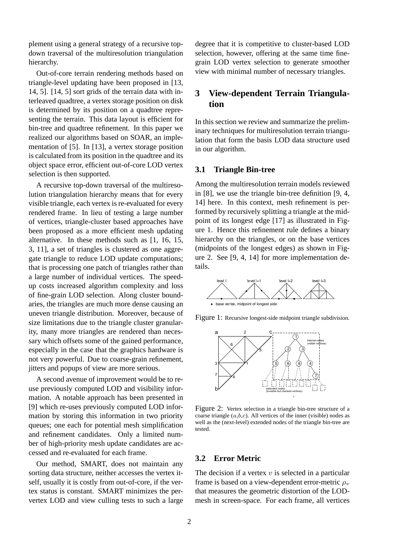plement using a general strategy of a recursive topdown traversal of the multiresolution triangulation hierarchy.

Out-of-core terrain rendering methods based on triangle-level updating have been proposed in [13, 14, 5]. [14, 5] sort grids of the terrain data with interleaved quadtree, a vertex storage position on disk is determined by its position on a quadtree representing the terrain. This data layout is efficient for bin-tree and quadtree refinement. In this paper we realized our algorithms based on SOAR, an implementation of [5]. In [13], a vertex storage position is calculated from its position in the quadtree and its object space error, efficient out-of-core LOD vertex selection is then supported.

A recursive top-down traversal of the multiresolution triangulation hierarchy means that for every visible triangle, each vertex is re-evaluated for every rendered frame. In lieu of testing a large number of vertices, triangle-cluster based approaches have been proposed as a more efficient mesh updating alternative. In these methods such as [1, 16, 15, 3, 11], a set of triangles is clustered as one aggregate triangle to reduce LOD update computations; that is processing one patch of triangles rather than a large number of individual vertices. The speedup costs increased algorithm complexity and loss of fine-grain LOD selection. Along cluster boundaries, the triangles are much more dense causing an uneven triangle distribution. Moreover, because of size limitations due to the triangle cluster granularity, many more triangles are rendered than necessary which offsets some of the gained performance, especially in the case that the graphics hardware is not very powerful. Due to coarse-grain refinement, jitters and popups of view are more serious.

A second avenue of improvement would be to reuse previously computed LOD and visibility information. A notable approach has been presented in [9] which re-uses previously computed LOD information by storing this information in two priority queues; one each for potential mesh simplification and refinement candidates. Only a limited number of high-priority mesh update candidates are accessed and re-evaluated for each frame.

Our method, SMART, does not maintain any sorting data structure, neither accesses the vertex itself, usually it is costly from out-of-core, if the vertex status is constant. SMART minimizes the pervertex LOD and view culling tests to such a large degree that it is competitive to cluster-based LOD selection, however, offering at the same time finegrain LOD vertex selection to generate smoother view with minimal number of necessary triangles.

# **3 View-dependent Terrain Triangulation**

In this section we review and summarize the preliminary techniques for multiresolution terrain triangulation that form the basis LOD data structure used in our algorithm.

# **3.1 Triangle Bin-tree**

Among the multiresolution terrain models reviewed in [8], we use the triangle bin-tree definition [9, 4, 14] here. In this context, mesh refinement is performed by recursively splitting a triangle at the midpoint of its longest edge [17] as illustrated in Figure 1. Hence this refinement rule defines a binary hierarchy on the triangles, or on the base vertices (midpoints of the longest edges) as shown in Figure 2. See [9, 4, 14] for more implementation details.



Figure 1: Recursive longest-side midpoint triangle subdivision.



Figure 2: Vertex selection in a triangle bin-tree structure of a coarse triangle  $(a,b,c)$ . All vertices of the inner (visible) nodes as well as the (next-level) extended nodes of the triangle bin-tree are tested.

# **3.2 Error Metric**

The decision if a vertex  $v$  is selected in a particular frame is based on a view-dependent error-metric  $\rho_v$ that measures the geometric distortion of the LODmesh in screen-space. For each frame, all vertices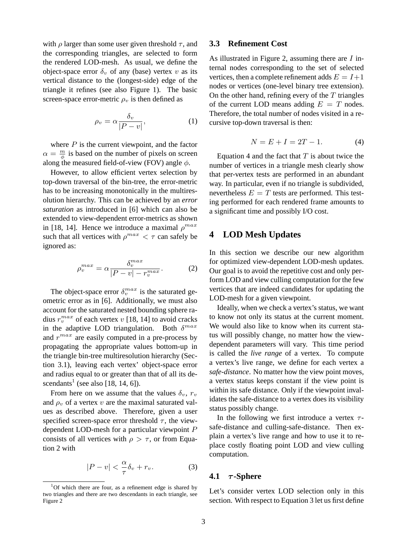with  $\rho$  larger than some user given threshold  $\tau$ , and the corresponding triangles, are selected to form the rendered LOD-mesh. As usual, we define the object-space error  $\delta_v$  of any (base) vertex v as its vertical distance to the (longest-side) edge of the triangle it refines (see also Figure 1). The basic screen-space error-metric  $\rho_v$  is then defined as

$$
\rho_v = \alpha \frac{\delta_v}{|P - v|},\tag{1}
$$

where  $P$  is the current viewpoint, and the factor  $\alpha = \frac{m}{\phi}$  is based on the number of pixels on screen along the measured field-of-view (FOV) angle  $\phi$ .

However, to allow efficient vertex selection by top-down traversal of the bin-tree, the error-metric has to be increasing monotonically in the multiresolution hierarchy. This can be achieved by an *error saturation* as introduced in [6] which can also be extended to view-dependent error-metrics as shown in [18, 14]. Hence we introduce a maximal  $\rho^{max}$ such that all vertices with  $\rho^{max} < \tau$  can safely be ignored as:

$$
\rho_v^{max} = \alpha \frac{\delta_v^{max}}{|P - v| - r_v^{max}}.
$$
 (2)

The object-space error  $\delta_v^{max}$  is the saturated geometric error as in [6]. Additionally, we must also account for the saturated nested bounding sphere radius  $r_v^{max}$  of each vertex v [18, 14] to avoid cracks in the adaptive LOD triangulation. Both  $\delta^{max}$ and  $r^{max}$  are easily computed in a pre-process by propagating the appropriate values bottom-up in the triangle bin-tree multiresolution hierarchy (Section 3.1), leaving each vertex' object-space error and radius equal to or greater than that of all its descendants<sup>1</sup> (see also [18, 14, 6]).

From here on we assume that the values  $\delta_v$ ,  $r_v$ and  $\rho_v$  of a vertex v are the maximal saturated values as described above. Therefore, given a user specified screen-space error threshold  $\tau$ , the viewdependent LOD-mesh for a particular viewpoint P consists of all vertices with  $\rho > \tau$ , or from Equation 2 with

$$
|P - v| < \frac{\alpha}{\tau} \delta_v + r_v. \tag{3}
$$

### **3.3 Refinement Cost**

As illustrated in Figure 2, assuming there are  $I$  internal nodes corresponding to the set of selected vertices, then a complete refinement adds  $E = I+1$ nodes or vertices (one-level binary tree extension). On the other hand, refining every of the  $T$  triangles of the current LOD means adding  $E = T$  nodes. Therefore, the total number of nodes visited in a recursive top-down traversal is then:

$$
N = E + I = 2T - 1.
$$
 (4)

Equation 4 and the fact that  $T$  is about twice the number of vertices in a triangle mesh clearly show that per-vertex tests are performed in an abundant way. In particular, even if no triangle is subdivided, nevertheless  $E = T$  tests are performed. This testing performed for each rendered frame amounts to a significant time and possibly I/O cost.

# **4 LOD Mesh Updates**

In this section we describe our new algorithm for optimized view-dependent LOD-mesh updates. Our goal is to avoid the repetitive cost and only perform LOD and view culling computation for the few vertices that are indeed candidates for updating the LOD-mesh for a given viewpoint.

Ideally, when we check a vertex's status, we want to know not only its status at the current moment. We would also like to know when its current status will possibly change, no matter how the viewdependent parameters will vary. This time period is called the *live range* of a vertex. To compute a vertex's live range, we define for each vertex a *safe-distance*. No matter how the view point moves, a vertex status keeps constant if the view point is within its safe distance. Only if the viewpoint invalidates the safe-distance to a vertex does its visibility status possibly change.

In the following we first introduce a vertex  $\tau$ safe-distance and culling-safe-distance. Then explain a vertex's live range and how to use it to replace costly floating point LOD and view culling computation.

#### **4.1** τ **-Sphere**

Let's consider vertex LOD selection only in this section. With respect to Equation 3 let us first define

<sup>1</sup>Of which there are four, as a refinement edge is shared by two triangles and there are two descendants in each triangle, see Figure 2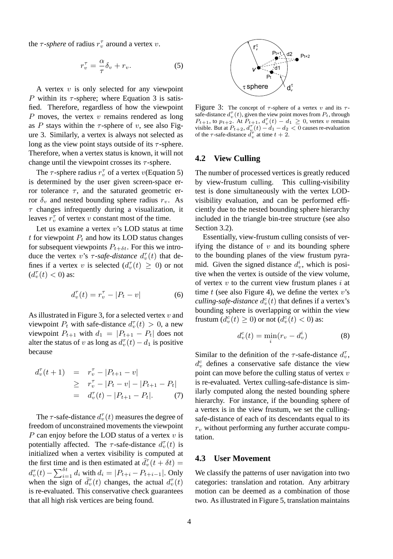the  $\tau$ -*sphere* of radius  $r_v^{\tau}$  around a vertex v.

$$
r_v^{\tau} = \frac{\alpha}{\tau} \delta_v + r_v.
$$
 (5)

A vertex  $v$  is only selected for any viewpoint P within its  $\tau$ -sphere; where Equation 3 is satisfied. Therefore, regardless of how the viewpoint  $P$  moves, the vertex  $v$  remains rendered as long as P stays within the  $\tau$ -sphere of v, see also Figure 3. Similarly, a vertex is always not selected as long as the view point stays outside of its  $\tau$ -sphere. Therefore, when a vertex status is known, it will not change until the viewpoint crosses its  $\tau$ -sphere.

The  $\tau$ -sphere radius  $r_v^{\tau}$  of a vertex  $v$ (Equation 5) is determined by the user given screen-space error tolerance  $\tau$ , and the saturated geometric error  $\delta_v$  and nested bounding sphere radius  $r_v$ . As  $\tau$  changes infrequently during a visualization, it leaves  $r_v^{\tau}$  of vertex v constant most of the time.

Let us examine a vertex  $v$ 's LOD status at time t for viewpoint  $P_t$  and how its LOD status changes for subsequent viewpoints  $P_{t+\delta t}$ . For this we introduce the vertex v's  $\tau$ -safe-distance  $d_v^{\tau}(t)$  that defines if a vertex v is selected  $(d_v^{\tau}(t) \geq 0)$  or not  $(d^{\tau}_{v}(t) < 0)$  as:

$$
d_v^{\tau}(t) = r_v^{\tau} - |P_t - v| \tag{6}
$$

As illustrated in Figure 3, for a selected vertex  $v$  and viewpoint  $P_t$  with safe-distance  $d_v^{\tau}(t) > 0$ , a new viewpoint  $P_{t+1}$  with  $d_1 = |P_{t+1} - P_t|$  does not alter the status of v as long as  $d_v^{\tau}(t) - d_1$  is positive because

$$
d_v^{\tau}(t+1) = r_v^{\tau} - |P_{t+1} - v|
$$
  
\n
$$
\geq r_v^{\tau} - |P_t - v| - |P_{t+1} - P_t|
$$
  
\n
$$
= d_v^{\tau}(t) - |P_{t+1} - P_t|.
$$
 (7)

The  $\tau$ -safe-distance  $d_v^{\tau}(t)$  measures the degree of freedom of unconstrained movements the viewpoint P can enjoy before the LOD status of a vertex  $v$  is potentially affected. The  $\tau$ -safe-distance  $d_v^{\tau}(t)$  is initialized when a vertex visibility is computed at the first time and is then estimated at  $\bar{d}_{v}^{\tau}(t + \delta t) =$ the first time<br> $d_v^{\tau}(t) - \sum_{i=1}^{\delta t}$  $\int_{i=1}^{ot} d_i$  with  $d_i = |P_{t+i} - P_{t+i-1}|$ . Only when the sign of  $\bar{d}_{v}^{\tau}(t)$  changes, the actual  $d_{v}^{\tau}(t)$ is re-evaluated. This conservative check guarantees that all high risk vertices are being found.



Figure 3: The concept of  $\tau$ -sphere of a vertex v and its  $\tau$ safe-distance  $d_v^{\tau}(t)$ , given the view point moves from  $P_t$ , through  $P_{t+1}$ , to  $p_{t+2}$ . At  $P_{t+1}$ ,  $d_v^{\tau}(t) - d_1 \ge 0$ , vertex v remains visible. But at  $P_{t+2}$ ,  $d_v^{\tau}(t) - d_1 - d_2 < 0$  causes re-evaluation of the  $\tau$ -safe-distance  $d_v^{\tau}$  at time  $t + 2$ .

#### **4.2 View Culling**

The number of processed vertices is greatly reduced by view-frustum culling. This culling-visibility test is done simultaneously with the vertex LODvisibility evaluation, and can be performed efficiently due to the nested bounding sphere hierarchy included in the triangle bin-tree structure (see also Section 3.2).

Essentially, view-frustum culling consists of verifying the distance of  $v$  and its bounding sphere to the bounding planes of the view frustum pyramid. Given the signed distance  $d_v^i$ , which is positive when the vertex is outside of the view volume, of vertex  $v$  to the current view frustum planes  $i$  at time  $t$  (see also Figure 4), we define the vertex  $v$ 's *culling-safe-distance*  $d_v^c(t)$  that defines if a vertex's bounding sphere is overlapping or within the view frustum  $(d_v^c(t) \ge 0)$  or not  $(d_v^c(t) < 0)$  as:

$$
d_v^c(t) = \min_i(r_v - d_v^i)
$$
 (8)

Similar to the definition of the  $\tau$ -safe-distance  $d_{\nu}^{\tau}$ ,  $d_v^c$  defines a conservative safe distance the view point can move before the culling status of vertex  $v$ is re-evaluated. Vertex culling-safe-distance is similarly computed along the nested bounding sphere hierarchy. For instance, if the bounding sphere of a vertex is in the view frustum, we set the cullingsafe-distance of each of its descendants equal to its  $r_v$  without performing any further accurate computation.

# **4.3 User Movement**

We classify the patterns of user navigation into two categories: translation and rotation. Any arbitrary motion can be deemed as a combination of those two. As illustrated in Figure 5, translation maintains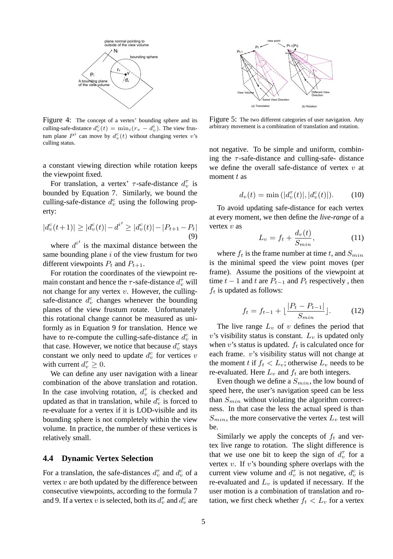

Figure 4: The concept of a vertex' bounding sphere and its culling-safe-distance  $d_v^c(t) = \min_i (r_v - d_v^i)$ . The view frustum plane  $P^i$  can move by  $d_v^c(t)$  without changing vertex v's culling status.

a constant viewing direction while rotation keeps the viewpoint fixed.

For translation, a vertex'  $\tau$ -safe-distance  $d_v^{\tau}$  is bounded by Equation 7. Similarly, we bound the culling-safe-distance  $d_v^c$  using the following property:

$$
|d_v^c(t+1)| \ge |d_v^c(t)| - d^{i'} \ge |d_v^c(t)| - |P_{t+1} - P_t|
$$
\n(9)

where  $d^{i'}$  is the maximal distance between the same bounding plane  $i$  of the view frustum for two different viewpoints  $P_t$  and  $P_{t+1}$ .

For rotation the coordinates of the viewpoint remain constant and hence the  $\tau$ -safe-distance  $d_v^{\tau}$  will not change for any vertex  $v$ . However, the cullingsafe-distance  $d_v^c$  changes whenever the bounding planes of the view frustum rotate. Unfortunately this rotational change cannot be measured as uniformly as in Equation 9 for translation. Hence we have to re-compute the culling-safe-distance  $d_v^c$  in that case. However, we notice that because  $d_v^{\tau}$  stays constant we only need to update  $d_v^c$  for vertices v with current  $d_v^{\tau} \geq 0$ .

We can define any user navigation with a linear combination of the above translation and rotation. In the case involving rotation,  $d_v^{\tau}$  is checked and updated as that in translation, while  $d_v^c$  is forced to re-evaluate for a vertex if it is LOD-visible and its bounding sphere is not completely within the view volume. In practice, the number of these vertices is relatively small.

# **4.4 Dynamic Vertex Selection**

For a translation, the safe-distances  $d_v^{\tau}$  and  $d_v^c$  of a vertex  $v$  are both updated by the difference between consecutive viewpoints, according to the formula 7 and 9. If a vertex v is selected, both its  $d_v^{\tau}$  and  $d_v^c$ 



Figure 5: The two different categories of user navigation. Any arbitrary movement is a combination of translation and rotation.

not negative. To be simple and uniform, combining the  $\tau$ -safe-distance and culling-safe- distance we define the overall safe-distance of vertex  $v$  at moment  $t$  as

$$
d_v(t) = \min\left(|d_v^{\tau}(t)|, |d_v^c(t)|\right). \tag{10}
$$

To avoid updating safe-distance for each vertex at every moment, we then define the *live-range* of a vertex  $v$  as

$$
L_v = f_t + \frac{d_v(t)}{S_{min}},\tag{11}
$$

where  $f_t$  is the frame number at time t, and  $S_{min}$ is the minimal speed the view point moves (per frame). Assume the positions of the viewpoint at time  $t - 1$  and  $t$  are  $P_{t-1}$  and  $P_t$  respectively, then  $f_t$  is updated as follows:

$$
f_t = f_{t-1} + \lfloor \frac{|P_t - P_{t-1}|}{S_{min}} \rfloor.
$$
 (12)

The live range  $L_v$  of v defines the period that  $v$ 's visibility status is constant.  $L_v$  is updated only when v's status is updated.  $f_t$  is calculated once for each frame.  $v$ 's visibility status will not change at the moment t if  $f_t < L_v$ ; otherwise  $L_v$  needs to be re-evaluated. Here  $L_v$  and  $f_t$  are both integers.

Even though we define a  $S_{min}$ , the low bound of speed here, the user's navigation speed can be less than  $S_{min}$  without violating the algorithm correctness. In that case the less the actual speed is than  $S_{min}$ , the more conservative the vertex  $L_v$  test will be.

and its Figure 5: The two arbitrary movement is  $v^r$  are view that  $v^r$  are define the contract  $v^r$  and the  $d_v(t)$  or  $\frac{d_v^r}{dt_v^r}$  is  $d_v(t)$  To avoid updd at every moment  $t$  as  $d_v(t)$  To avoid updd at every moment Similarly we apply the concepts of  $f_t$  and vertex live range to rotation. The slight difference is that we use one bit to keep the sign of  $d_v^{\tau}$  for a vertex  $v$ . If  $v$ 's bounding sphere overlaps with the current view volume and  $d_v^{\tau}$  is not negative,  $d_v^c$  is re-evaluated and  $L<sub>v</sub>$  is updated if necessary. If the user motion is a combination of translation and rotation, we first check whether  $f_t < L_v$  for a vertex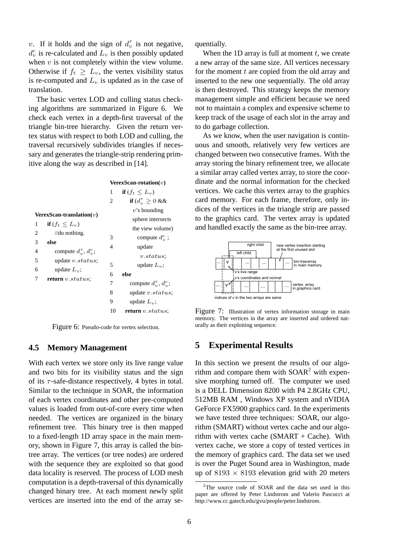v. If it holds and the sign of  $d_v^{\tau}$  is not negative,  $d_v^c$  is re-calculated and  $L_v$  is then possibly updated when  $v$  is not completely within the view volume. Otherwise if  $f_t \geq L_v$ , the vertex visibility status is re-computed and  $L<sub>v</sub>$  is updated as in the case of translation.

The basic vertex LOD and culling status checking algorithms are summarized in Figure 6. We check each vertex in a depth-first traversal of the triangle bin-tree hierarchy. Given the return vertex status with respect to both LOD and culling, the traversal recursively subdivides triangles if necessary and generates the triangle-strip rendering primitive along the way as described in [14].

|                                                 | VerexScan-rotation $(v)$ |                                                  |
|-------------------------------------------------|--------------------------|--------------------------------------------------|
|                                                 | 1                        | if $(f_t \leq L_v)$                              |
|                                                 | 2                        | if $(d_n^{\tau} \geq 0 \&\&$                     |
| $\textbf{VerexScan-translation}(v)$             |                          | $v$ 's bounding                                  |
|                                                 |                          | sphere intersects                                |
| if $(f_t \leq L_v)$<br>1                        |                          | the view volume)                                 |
| 2<br>//do nothing.                              | 3                        | compute $d_i^c$ ;                                |
| 3<br>else                                       | 4                        | update                                           |
| compute $d_{\eta}^{\tau}$ , $d_{\eta}^c$ ;<br>4 |                          | v <sub>status</sub>                              |
| 5<br>update $v. status;$                        | 5                        | update $L_v$ ;                                   |
| update $L_n$ ;<br>6                             | 6                        | else                                             |
| 7<br>return $v. status;$                        | 7                        | compute $d_{\omega}^{\tau}$ , $d_{\omega}^{c}$ ; |
|                                                 | 8                        | update $v. status$ ;                             |
|                                                 | 9                        | update $L_n$ ;                                   |
|                                                 | 10                       | return v.status;                                 |
|                                                 |                          |                                                  |

Figure 6: Pseudo-code for vertex selection.

#### **4.5 Memory Management**

With each vertex we store only its live range value and two bits for its visibility status and the sign of its  $\tau$ -safe-distance respectively, 4 bytes in total. Similar to the technique in SOAR, the information of each vertex coordinates and other pre-computed values is loaded from out-of-core every time when needed. The vertices are organized in the binary refinement tree. This binary tree is then mapped to a fixed-length 1D array space in the main memory, shown in Figure 7, this array is called the bintree array. The vertices (or tree nodes) are ordered with the sequence they are exploited so that good data locality is reserved. The process of LOD mesh computation is a depth-traversal of this dynamically changed binary tree. At each moment newly split vertices are inserted into the end of the array sequentially.

When the 1D array is full at moment  $t$ , we create a new array of the same size. All vertices necessary for the moment  $t$  are copied from the old array and inserted to the new one sequentially. The old array is then destroyed. This strategy keeps the memory management simple and efficient because we need not to maintain a complex and expensive scheme to keep track of the usage of each slot in the array and to do garbage collection.

As we know, when the user navigation is continuous and smooth, relatively very few vertices are changed between two consecutive frames. With the array storing the binary refinement tree, we allocate a similar array called vertex array, to store the coordinate and the normal information for the checked vertices. We cache this vertex array to the graphics card memory. For each frame, therefore, only indices of the vertices in the triangle strip are passed to the graphics card. The vertex array is updated and handled exactly the same as the bin-tree array.





# **5 Experimental Results**

In this section we present the results of our algorithm and compare them with  $SOAR<sup>2</sup>$  with expensive morphing turned off. The computer we used is a DELL Dimension 8200 with P4 2.8GHz CPU, 512MB RAM , Windows XP system and nVIDIA GeForce FX5900 graphics card. In the experiments we have tested three techniques: SOAR, our algorithm (SMART) without vertex cache and our algorithm with vertex cache (SMART + Cache). With vertex cache, we store a copy of tested vertices in the memory of graphics card. The data set we used is over the Puget Sound area in Washington, made up of  $8193 \times 8193$  elevation grid with 20 meters

<sup>&</sup>lt;sup>2</sup>The source code of SOAR and the data set used in this paper are offered by Peter Lindstrom and Valerio Pascucci at http://www.cc.gatech.edu/gvu/people/peter.lindstrom.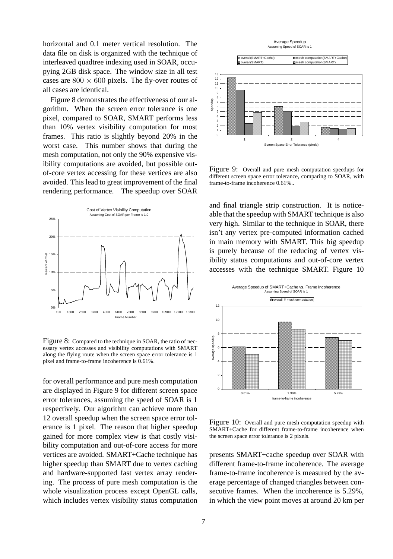horizontal and 0.1 meter vertical resolution. The data file on disk is organized with the technique of interleaved quadtree indexing used in SOAR, occupying 2GB disk space. The window size in all test cases are  $800 \times 600$  pixels. The fly-over routes of all cases are identical.

Figure 8 demonstrates the effectiveness of our algorithm. When the screen error tolerance is one pixel, compared to SOAR, SMART performs less than 10% vertex visibility computation for most frames. This ratio is slightly beyond 20% in the worst case. This number shows that during the mesh computation, not only the 90% expensive visibility computations are avoided, but possible outof-core vertex accessing for these vertices are also avoided. This lead to great improvement of the final rendering performance. The speedup over SOAR



Figure 8: Compared to the technique in SOAR, the ratio of necessary vertex accesses and visibility computations with SMART along the flying route when the screen space error tolerance is 1 pixel and frame-to-frame incoherence is 0.61%.

for overall performance and pure mesh computation are displayed in Figure 9 for different screen space error tolerances, assuming the speed of SOAR is 1 respectively. Our algorithm can achieve more than 12 overall speedup when the screen space error tolerance is 1 pixel. The reason that higher speedup gained for more complex view is that costly visibility computation and out-of-core access for more vertices are avoided. SMART+Cache technique has higher speedup than SMART due to vertex caching and hardware-supported fast vertex array rendering. The process of pure mesh computation is the whole visualization process except OpenGL calls, which includes vertex visibility status computation



Figure 9: Overall and pure mesh computation speedups for different screen space error tolerance, comparing to SOAR, with frame-to-frame incoherence 0.61%..

and final triangle strip construction. It is noticeable that the speedup with SMART technique is also very high. Similar to the technique in SOAR, there isn't any vertex pre-computed information cached in main memory with SMART. This big speedup is purely because of the reducing of vertex visibility status computations and out-of-core vertex accesses with the technique SMART. Figure 10



Figure 10: Overall and pure mesh computation speedup with SMART+Cache for different frame-to-frame incoherence when the screen space error tolerance is 2 pixels.

presents SMART+cache speedup over SOAR with different frame-to-frame incoherence. The average frame-to-frame incoherence is measured by the average percentage of changed triangles between consecutive frames. When the incoherence is 5.29%, in which the view point moves at around 20 km per